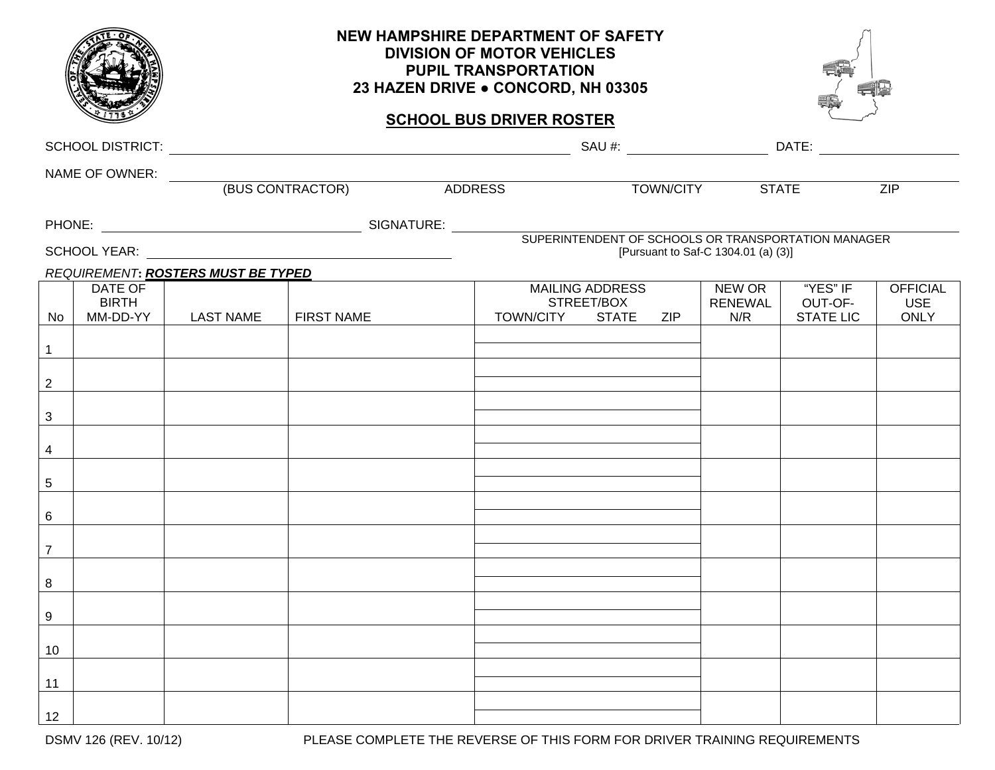|                                 |                                     | NEW HAMPSHIRE DEPARTMENT OF SAFETY<br><b>DIVISION OF MOTOR VEHICLES</b><br><b>PUPIL TRANSPORTATION</b><br>23 HAZEN DRIVE . CONCORD, NH 03305 |                                                     |         |                     |                                      |                 |                          |                                         |                                              |  |  |  |
|---------------------------------|-------------------------------------|----------------------------------------------------------------------------------------------------------------------------------------------|-----------------------------------------------------|---------|---------------------|--------------------------------------|-----------------|--------------------------|-----------------------------------------|----------------------------------------------|--|--|--|
| <b>SCHOOL BUS DRIVER ROSTER</b> |                                     |                                                                                                                                              |                                                     |         |                     |                                      |                 |                          |                                         |                                              |  |  |  |
|                                 |                                     |                                                                                                                                              |                                                     |         |                     |                                      |                 |                          |                                         |                                              |  |  |  |
|                                 |                                     |                                                                                                                                              |                                                     |         |                     |                                      |                 |                          |                                         |                                              |  |  |  |
|                                 |                                     |                                                                                                                                              |                                                     | ADDRESS |                     |                                      | TOWN/CITY STATE |                          | <b>ZIP</b>                              |                                              |  |  |  |
|                                 |                                     |                                                                                                                                              |                                                     |         |                     |                                      |                 |                          |                                         |                                              |  |  |  |
|                                 |                                     |                                                                                                                                              | SUPERINTENDENT OF SCHOOLS OR TRANSPORTATION MANAGER |         |                     |                                      |                 |                          | [Pursuant to Saf-C 1304.01 (a) (3)]     |                                              |  |  |  |
|                                 |                                     | REQUIREMENT: ROSTERS MUST BE TYPED                                                                                                           |                                                     |         |                     |                                      |                 |                          |                                         |                                              |  |  |  |
| No                              | DATE OF<br><b>BIRTH</b><br>MM-DD-YY | <b>LAST NAME</b>                                                                                                                             | <b>FIRST NAME</b>                                   |         | TOWN/CITY STATE ZIP | <b>MAILING ADDRESS</b><br>STREET/BOX |                 | NEW OR<br>RENEWAL<br>N/R | "YES" IF<br>OUT-OF-<br><b>STATE LIC</b> | <b>OFFICIAL</b><br><b>USE</b><br><b>ONLY</b> |  |  |  |
| 1                               |                                     |                                                                                                                                              |                                                     |         |                     |                                      |                 |                          |                                         |                                              |  |  |  |
| $\overline{2}$                  |                                     |                                                                                                                                              |                                                     |         |                     |                                      |                 |                          |                                         |                                              |  |  |  |
|                                 |                                     |                                                                                                                                              |                                                     |         |                     |                                      |                 |                          |                                         |                                              |  |  |  |
| 3                               |                                     |                                                                                                                                              |                                                     |         |                     |                                      |                 |                          |                                         |                                              |  |  |  |
| 4                               |                                     |                                                                                                                                              |                                                     |         |                     |                                      |                 |                          |                                         |                                              |  |  |  |
| $\overline{5}$                  |                                     |                                                                                                                                              |                                                     |         |                     |                                      |                 |                          |                                         |                                              |  |  |  |
| 6                               |                                     |                                                                                                                                              |                                                     |         |                     |                                      |                 |                          |                                         |                                              |  |  |  |
| $\overline{7}$                  |                                     |                                                                                                                                              |                                                     |         |                     |                                      |                 |                          |                                         |                                              |  |  |  |
| 8                               |                                     |                                                                                                                                              |                                                     |         |                     |                                      |                 |                          |                                         |                                              |  |  |  |
|                                 |                                     |                                                                                                                                              |                                                     |         |                     |                                      |                 |                          |                                         |                                              |  |  |  |
| 9                               |                                     |                                                                                                                                              |                                                     |         |                     |                                      |                 |                          |                                         |                                              |  |  |  |
| 10                              |                                     |                                                                                                                                              |                                                     |         |                     |                                      |                 |                          |                                         |                                              |  |  |  |
| 11                              |                                     |                                                                                                                                              |                                                     |         |                     |                                      |                 |                          |                                         |                                              |  |  |  |
| 12                              |                                     |                                                                                                                                              |                                                     |         |                     |                                      |                 |                          |                                         |                                              |  |  |  |

DSMV 126 (REV. 10/12) PLEASE COMPLETE THE REVERSE OF THIS FORM FOR DRIVER TRAINING REQUIREMENTS